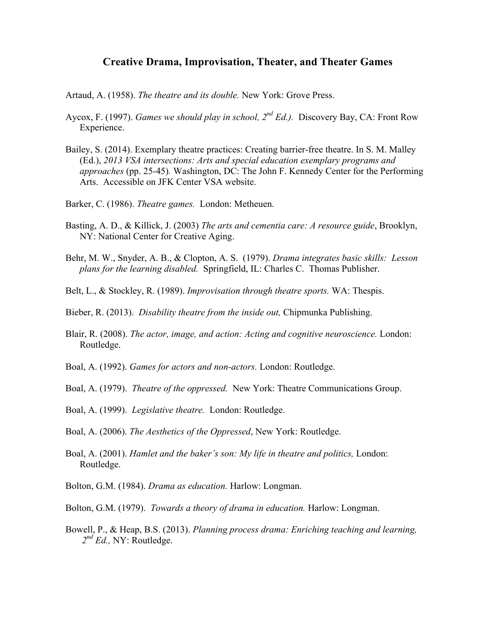## **Creative Drama, Improvisation, Theater, and Theater Games**

- Artaud, A. (1958). *The theatre and its double.* New York: Grove Press.
- Aycox, F. (1997). *Games we should play in school, 2nd Ed.).* Discovery Bay, CA: Front Row Experience.
- Bailey, S. (2014). Exemplary theatre practices: Creating barrier-free theatre. In S. M. Malley (Ed.), *2013 VSA intersections: Arts and special education exemplary programs and approaches* (pp. 25-45)*.* Washington, DC: The John F. Kennedy Center for the Performing Arts. Accessible on JFK Center VSA website.
- Barker, C. (1986). *Theatre games.* London: Metheuen.
- Basting, A. D., & Killick, J. (2003) *The arts and cementia care: A resource guide*, Brooklyn, NY: National Center for Creative Aging.
- Behr, M. W., Snyder, A. B., & Clopton, A. S. (1979). *Drama integrates basic skills: Lesson plans for the learning disabled.* Springfield, IL: Charles C. Thomas Publisher.
- Belt, L., & Stockley, R. (1989). *Improvisation through theatre sports.* WA: Thespis.
- Bieber, R. (2013). *Disability theatre from the inside out,* Chipmunka Publishing.
- Blair, R. (2008). *The actor, image, and action: Acting and cognitive neuroscience.* London: Routledge.
- Boal, A. (1992). *Games for actors and non-actors.* London: Routledge.
- Boal, A. (1979). *Theatre of the oppressed.* New York: Theatre Communications Group.
- Boal, A. (1999). *Legislative theatre.* London: Routledge.
- Boal, A. (2006). *The Aesthetics of the Oppressed*, New York: Routledge.
- Boal, A. (2001). *Hamlet and the baker's son: My life in theatre and politics,* London: Routledge.
- Bolton, G.M. (1984). *Drama as education.* Harlow: Longman.
- Bolton, G.M. (1979). *Towards a theory of drama in education.* Harlow: Longman.
- Bowell, P., & Heap, B.S. (2013). *Planning process drama: Enriching teaching and learning, 2nd Ed.,* NY: Routledge.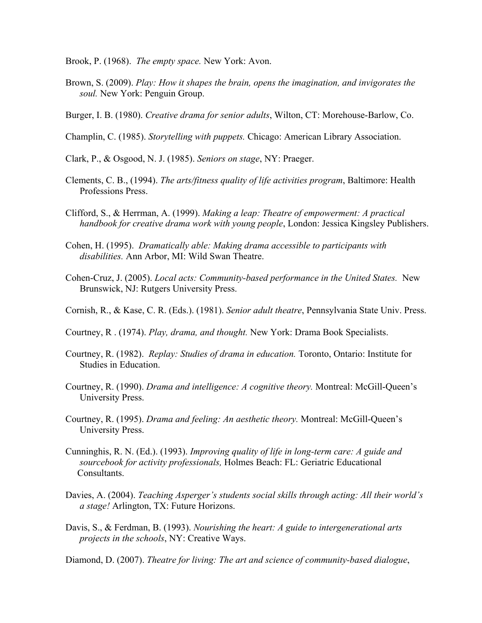Brook, P. (1968). *The empty space.* New York: Avon.

- Brown, S. (2009). *Play: How it shapes the brain, opens the imagination, and invigorates the soul.* New York: Penguin Group.
- Burger, I. B. (1980). *Creative drama for senior adults*, Wilton, CT: Morehouse-Barlow, Co.
- Champlin, C. (1985). *Storytelling with puppets.* Chicago: American Library Association.
- Clark, P., & Osgood, N. J. (1985). *Seniors on stage*, NY: Praeger.
- Clements, C. B., (1994). *The arts/fitness quality of life activities program*, Baltimore: Health Professions Press.
- Clifford, S., & Herrman, A. (1999). *Making a leap: Theatre of empowerment: A practical handbook for creative drama work with young people*, London: Jessica Kingsley Publishers.
- Cohen, H. (1995). *Dramatically able: Making drama accessible to participants with disabilities.* Ann Arbor, MI: Wild Swan Theatre.
- Cohen-Cruz, J. (2005). *Local acts: Community-based performance in the United States.* New Brunswick, NJ: Rutgers University Press.
- Cornish, R., & Kase, C. R. (Eds.). (1981). *Senior adult theatre*, Pennsylvania State Univ. Press.
- Courtney, R . (1974). *Play, drama, and thought.* New York: Drama Book Specialists.
- Courtney, R. (1982). *Replay: Studies of drama in education.* Toronto, Ontario: Institute for Studies in Education.
- Courtney, R. (1990). *Drama and intelligence: A cognitive theory.* Montreal: McGill-Queen's University Press.
- Courtney, R. (1995). *Drama and feeling: An aesthetic theory.* Montreal: McGill-Queen's University Press.
- Cunninghis, R. N. (Ed.). (1993). *Improving quality of life in long-term care: A guide and sourcebook for activity professionals,* Holmes Beach: FL: Geriatric Educational Consultants.
- Davies, A. (2004). *Teaching Asperger's students social skills through acting: All their world's a stage!* Arlington, TX: Future Horizons.
- Davis, S., & Ferdman, B. (1993). *Nourishing the heart: A guide to intergenerational arts projects in the schools*, NY: Creative Ways.
- Diamond, D. (2007). *Theatre for living: The art and science of community-based dialogue*,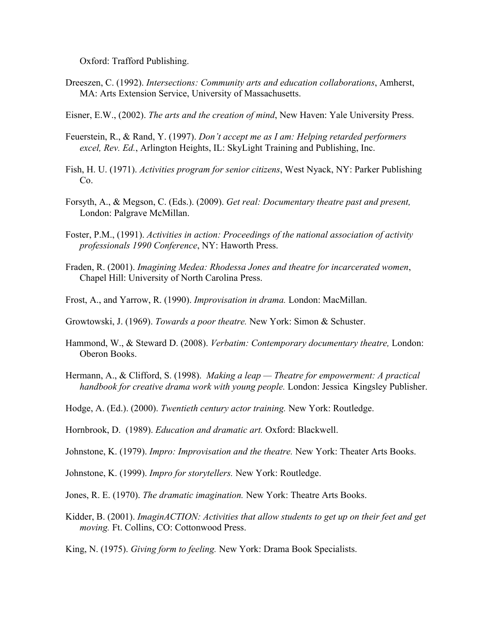Oxford: Trafford Publishing.

- Dreeszen, C. (1992). *Intersections: Community arts and education collaborations*, Amherst, MA: Arts Extension Service, University of Massachusetts.
- Eisner, E.W., (2002). *The arts and the creation of mind*, New Haven: Yale University Press.
- Feuerstein, R., & Rand, Y. (1997). *Don't accept me as I am: Helping retarded performers excel, Rev. Ed.*, Arlington Heights, IL: SkyLight Training and Publishing, Inc.
- Fish, H. U. (1971). *Activities program for senior citizens*, West Nyack, NY: Parker Publishing Co.
- Forsyth, A., & Megson, C. (Eds.). (2009). *Get real: Documentary theatre past and present,*  London: Palgrave McMillan.
- Foster, P.M., (1991). *Activities in action: Proceedings of the national association of activity professionals 1990 Conference*, NY: Haworth Press.
- Fraden, R. (2001). *Imagining Medea: Rhodessa Jones and theatre for incarcerated women*, Chapel Hill: University of North Carolina Press.
- Frost, A., and Yarrow, R. (1990). *Improvisation in drama.* London: MacMillan.
- Growtowski, J. (1969). *Towards a poor theatre.* New York: Simon & Schuster.
- Hammond, W., & Steward D. (2008). *Verbatim: Contemporary documentary theatre,* London: Oberon Books.
- Hermann, A., & Clifford, S. (1998). *Making a leap — Theatre for empowerment: A practical handbook for creative drama work with young people.* London: Jessica Kingsley Publisher.
- Hodge, A. (Ed.). (2000). *Twentieth century actor training.* New York: Routledge.
- Hornbrook, D. (1989). *Education and dramatic art.* Oxford: Blackwell.
- Johnstone, K. (1979). *Impro: Improvisation and the theatre.* New York: Theater Arts Books.
- Johnstone, K. (1999). *Impro for storytellers.* New York: Routledge.
- Jones, R. E. (1970). *The dramatic imagination.* New York: Theatre Arts Books.
- Kidder, B. (2001). *ImaginACTION: Activities that allow students to get up on their feet and get moving.* Ft. Collins, CO: Cottonwood Press.
- King, N. (1975). *Giving form to feeling.* New York: Drama Book Specialists.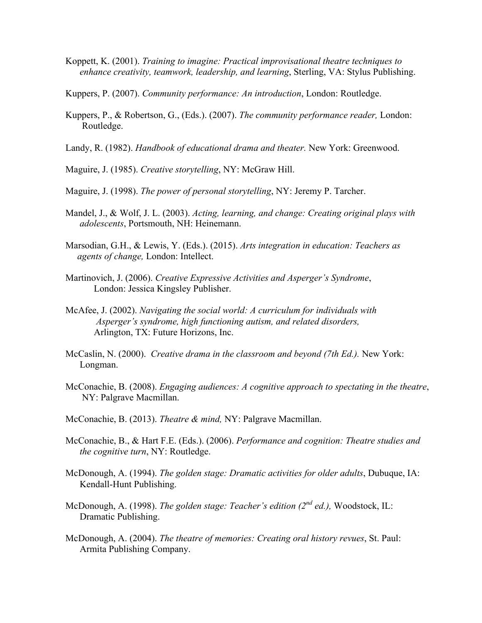- Koppett, K. (2001). *Training to imagine: Practical improvisational theatre techniques to enhance creativity, teamwork, leadership, and learning*, Sterling, VA: Stylus Publishing.
- Kuppers, P. (2007). *Community performance: An introduction*, London: Routledge.
- Kuppers, P., & Robertson, G., (Eds.). (2007). *The community performance reader,* London: Routledge.
- Landy, R. (1982). *Handbook of educational drama and theater.* New York: Greenwood.
- Maguire, J. (1985). *Creative storytelling*, NY: McGraw Hill.
- Maguire, J. (1998). *The power of personal storytelling*, NY: Jeremy P. Tarcher.
- Mandel, J., & Wolf, J. L. (2003). *Acting, learning, and change: Creating original plays with adolescents*, Portsmouth, NH: Heinemann.
- Marsodian, G.H., & Lewis, Y. (Eds.). (2015). *Arts integration in education: Teachers as agents of change,* London: Intellect.
- Martinovich, J. (2006). *Creative Expressive Activities and Asperger's Syndrome*, London: Jessica Kingsley Publisher.
- McAfee, J. (2002). *Navigating the social world: A curriculum for individuals with Asperger's syndrome, high functioning autism, and related disorders,*  Arlington, TX: Future Horizons, Inc.
- McCaslin, N. (2000). *Creative drama in the classroom and beyond (7th Ed.).* New York: Longman.
- McConachie, B. (2008). *Engaging audiences: A cognitive approach to spectating in the theatre*, NY: Palgrave Macmillan.
- McConachie, B. (2013). *Theatre & mind,* NY: Palgrave Macmillan.
- McConachie, B., & Hart F.E. (Eds.). (2006). *Performance and cognition: Theatre studies and the cognitive turn*, NY: Routledge.
- McDonough, A. (1994). *The golden stage: Dramatic activities for older adults*, Dubuque, IA: Kendall-Hunt Publishing.
- McDonough, A. (1998). *The golden stage: Teacher's edition (2nd ed.),* Woodstock, IL: Dramatic Publishing.
- McDonough, A. (2004). *The theatre of memories: Creating oral history revues*, St. Paul: Armita Publishing Company.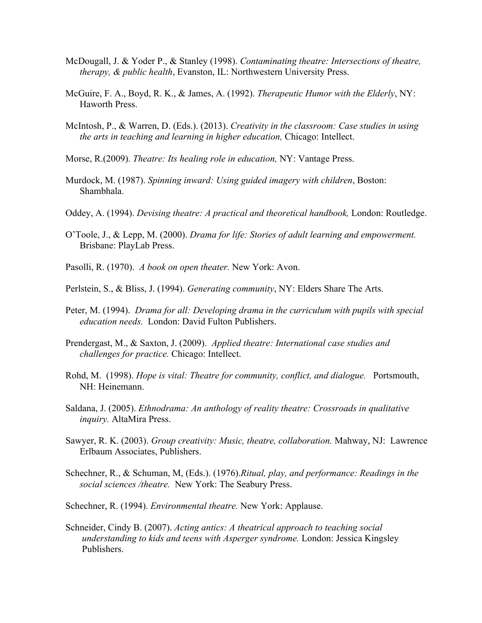- McDougall, J. & Yoder P., & Stanley (1998). *Contaminating theatre: Intersections of theatre, therapy, & public health*, Evanston, IL: Northwestern University Press.
- McGuire, F. A., Boyd, R. K., & James, A. (1992). *Therapeutic Humor with the Elderly*, NY: Haworth Press.
- McIntosh, P., & Warren, D. (Eds.). (2013). *Creativity in the classroom: Case studies in using the arts in teaching and learning in higher education,* Chicago: Intellect.
- Morse, R.(2009). *Theatre: Its healing role in education,* NY: Vantage Press.
- Murdock, M. (1987). *Spinning inward: Using guided imagery with children*, Boston: Shambhala.
- Oddey, A. (1994). *Devising theatre: A practical and theoretical handbook,* London: Routledge.
- O'Toole, J., & Lepp, M. (2000). *Drama for life: Stories of adult learning and empowerment.*  Brisbane: PlayLab Press.
- Pasolli, R. (1970). *A book on open theater.* New York: Avon.
- Perlstein, S., & Bliss, J. (1994). *Generating community*, NY: Elders Share The Arts.
- Peter, M. (1994). *Drama for all: Developing drama in the curriculum with pupils with special education needs.* London: David Fulton Publishers.
- Prendergast, M., & Saxton, J. (2009). *Applied theatre: International case studies and challenges for practice.* Chicago: Intellect.
- Rohd, M. (1998). *Hope is vital: Theatre for community, conflict, and dialogue.* Portsmouth, NH: Heinemann.
- Saldana, J. (2005). *Ethnodrama: An anthology of reality theatre: Crossroads in qualitative inquiry.* AltaMira Press.
- Sawyer, R. K. (2003). *Group creativity: Music, theatre, collaboration.* Mahway, NJ: Lawrence Erlbaum Associates, Publishers.
- Schechner, R., & Schuman, M, (Eds.). (1976).*Ritual, play, and performance: Readings in the social sciences /theatre.* New York: The Seabury Press.
- Schechner, R. (1994). *Environmental theatre.* New York: Applause.
- Schneider, Cindy B. (2007). *Acting antics: A theatrical approach to teaching social understanding to kids and teens with Asperger syndrome.* London: Jessica Kingsley Publishers.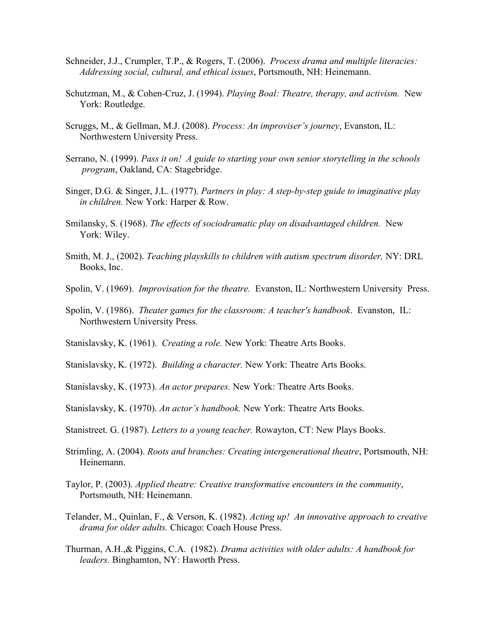- Schneider, J.J., Crumpler, T.P., & Rogers, T. (2006). *Process drama and multiple literacies: Addressing social, cultural, and ethical issues*, Portsmouth, NH: Heinemann.
- Schutzman, M., & Cohen-Cruz, J. (1994). *Playing Boal: Theatre, therapy, and activism.* New York: Routledge.
- Scruggs, M., & Gellman, M.J. (2008). *Process: An improviser's journey*, Evanston, IL: Northwestern University Press.
- Serrano, N. (1999). *Pass it on! A guide to starting your own senior storytelling in the schools program*, Oakland, CA: Stagebridge.
- Singer, D.G. & Singer, J.L. (1977). *Partners in play: A step-by-step guide to imaginative play in children.* New York: Harper & Row.
- Smilansky, S. (1968). *The effects of sociodramatic play on disadvantaged children.* New York: Wiley.
- Smith, M. J., (2002). *Teaching playskills to children with autism spectrum disorder,* NY: DRL Books, Inc.
- Spolin, V. (1969). *Improvisation for the theatre.* Evanston, IL: Northwestern University Press.
- Spolin, V. (1986). *Theater games for the classroom: A teacher's handbook*. Evanston, IL: Northwestern University Press.
- Stanislavsky, K. (1961). *Creating a role.* New York: Theatre Arts Books.
- Stanislavsky, K. (1972). *Building a character.* New York: Theatre Arts Books.
- Stanislavsky, K. (1973). *An actor prepares.* New York: Theatre Arts Books.
- Stanislavsky, K. (1970). *An actor's handbook.* New York: Theatre Arts Books.
- Stanistreet. G. (1987). *Letters to a young teacher.* Rowayton, CT: New Plays Books.
- Strimling, A. (2004). *Roots and branches: Creating intergenerational theatre*, Portsmouth, NH: Heinemann.
- Taylor, P. (2003). *Applied theatre: Creative transformative encounters in the community*, Portsmouth, NH: Heinemann.
- Telander, M., Quinlan, F., & Verson, K. (1982). *Acting up! An innovative approach to creative drama for older adults.* Chicago: Coach House Press.
- Thurman, A.H.,& Piggins, C.A. (1982). *Drama activities with older adults: A handbook for leaders.* Binghamton, NY: Haworth Press.